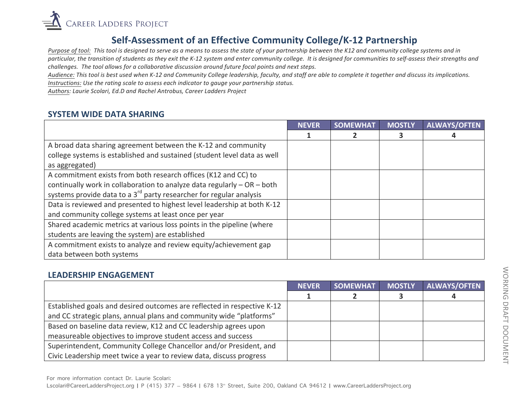

# **Self-Assessment of an Effective Community College/K-12 Partnership**

*Purpose* of tool: This tool is designed to serve as a means to assess the state of your partnership between the K12 and community college systems and in particular, the transition of students as they exit the K-12 system and enter community college. It is designed for communities to self-assess their strengths and *challenges.* The tool allows for a collaborative discussion around future focal points and next steps.

Audience: This tool is best used when K-12 and Community College leadership, faculty, and staff are able to complete it together and discuss its implications. *Instructions: Use the rating scale to assess each indicator to gauge your partnership status.* 

Authors: Laurie Scolari, Ed.D and Rachel Antrobus, Career Ladders Project

#### **SYSTEM WIDE DATA SHARING**

|                                                                                 | <b>NEVER</b> | <b>SOMEWHAT</b> | <b>MOSTLY</b> | <b>ALWAYS/OFTEN</b> |
|---------------------------------------------------------------------------------|--------------|-----------------|---------------|---------------------|
|                                                                                 |              |                 | 3             |                     |
| A broad data sharing agreement between the K-12 and community                   |              |                 |               |                     |
| college systems is established and sustained (student level data as well        |              |                 |               |                     |
| as aggregated)                                                                  |              |                 |               |                     |
| A commitment exists from both research offices (K12 and CC) to                  |              |                 |               |                     |
| continually work in collaboration to analyze data regularly $-$ OR $-$ both     |              |                 |               |                     |
| systems provide data to a 3 <sup>rd</sup> party researcher for regular analysis |              |                 |               |                     |
| Data is reviewed and presented to highest level leadership at both K-12         |              |                 |               |                     |
| and community college systems at least once per year                            |              |                 |               |                     |
| Shared academic metrics at various loss points in the pipeline (where           |              |                 |               |                     |
| students are leaving the system) are established                                |              |                 |               |                     |
| A commitment exists to analyze and review equity/achievement gap                |              |                 |               |                     |
| data between both systems                                                       |              |                 |               |                     |

#### **LEADERSHIP ENGAGEMENT**

|                                                                         | <b>NEVER</b> | <b>SOMEWHAT</b> | <b>MOSTLY</b> | <b>ALWAYS/OFTEN</b> |
|-------------------------------------------------------------------------|--------------|-----------------|---------------|---------------------|
|                                                                         |              |                 |               |                     |
| Established goals and desired outcomes are reflected in respective K-12 |              |                 |               |                     |
| and CC strategic plans, annual plans and community wide "platforms"     |              |                 |               |                     |
| Based on baseline data review, K12 and CC leadership agrees upon        |              |                 |               |                     |
| measureable objectives to improve student access and success            |              |                 |               |                     |
| Superintendent, Community College Chancellor and/or President, and      |              |                 |               |                     |
| Civic Leadership meet twice a year to review data, discuss progress     |              |                 |               |                     |

WORKING DRAFT DOCUMENT WORKING DRAFT DOCUMENT

For more information contact Dr. Laurie Scolari:

Lscolari@CareerLaddersProject.org | P (415) 377 - 9864 | 678 13<sup>th</sup> Street, Suite 200, Oakland CA 94612 | www.CareerLaddersProject.org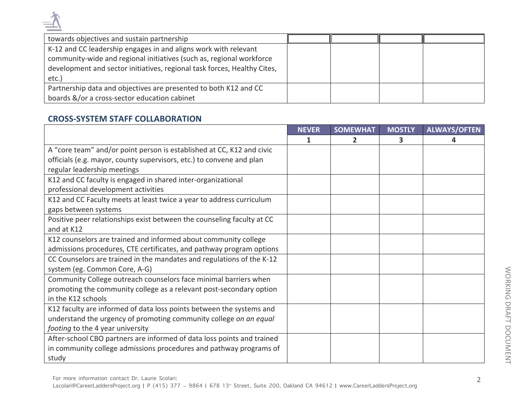| towards objectives and sustain partnership                                                                                                                                                                          |  |  |
|---------------------------------------------------------------------------------------------------------------------------------------------------------------------------------------------------------------------|--|--|
| K-12 and CC leadership engages in and aligns work with relevant<br>community-wide and regional initiatives (such as, regional workforce<br>development and sector initiatives, regional task forces, Healthy Cites, |  |  |
| $etc.$ )                                                                                                                                                                                                            |  |  |
| Partnership data and objectives are presented to both K12 and CC                                                                                                                                                    |  |  |
| boards &/or a cross-sector education cabinet                                                                                                                                                                        |  |  |

# **CROSS-SYSTEM STAFF COLLABORATION**

|                                                                        | <b>NEVER</b> | <b>SOMEWHAT</b> | <b>MOSTLY</b> | <b>ALWAYS/OFTEN</b> |
|------------------------------------------------------------------------|--------------|-----------------|---------------|---------------------|
|                                                                        | 1            | 2               | з             |                     |
| A "core team" and/or point person is established at CC, K12 and civic  |              |                 |               |                     |
| officials (e.g. mayor, county supervisors, etc.) to convene and plan   |              |                 |               |                     |
| regular leadership meetings                                            |              |                 |               |                     |
| K12 and CC faculty is engaged in shared inter-organizational           |              |                 |               |                     |
| professional development activities                                    |              |                 |               |                     |
| K12 and CC Faculty meets at least twice a year to address curriculum   |              |                 |               |                     |
| gaps between systems                                                   |              |                 |               |                     |
| Positive peer relationships exist between the counseling faculty at CC |              |                 |               |                     |
| and at K12                                                             |              |                 |               |                     |
| K12 counselors are trained and informed about community college        |              |                 |               |                     |
| admissions procedures, CTE certificates, and pathway program options   |              |                 |               |                     |
| CC Counselors are trained in the mandates and regulations of the K-12  |              |                 |               |                     |
| system (eg. Common Core, A-G)                                          |              |                 |               |                     |
| Community College outreach counselors face minimal barriers when       |              |                 |               |                     |
| promoting the community college as a relevant post-secondary option    |              |                 |               |                     |
| in the K12 schools                                                     |              |                 |               |                     |
| K12 faculty are informed of data loss points between the systems and   |              |                 |               |                     |
| understand the urgency of promoting community college on an equal      |              |                 |               |                     |
| footing to the 4 year university                                       |              |                 |               |                     |
| After-school CBO partners are informed of data loss points and trained |              |                 |               |                     |
| in community college admissions procedures and pathway programs of     |              |                 |               |                     |
| study                                                                  |              |                 |               |                     |

Lscolari@CareerLaddersProject.org | P (415) 377 - 9864 | 678 13<sup>th</sup> Street, Suite 200, Oakland CA 94612 | www.CareerLaddersProject.org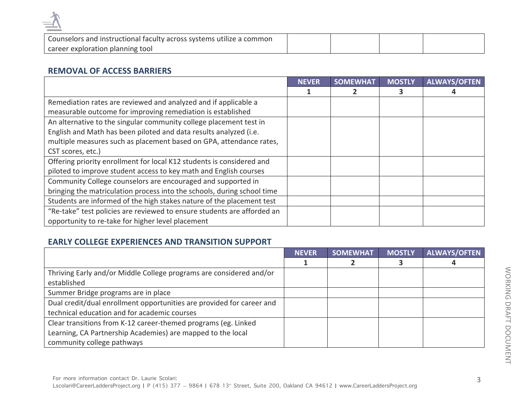

| Counselors and instructional faculty across systems utilize a common |  |  |
|----------------------------------------------------------------------|--|--|
| career exploration planning tool                                     |  |  |

#### **REMOVAL OF ACCESS BARRIERS**

|                                                                         | <b>NEVER</b> | <b>SOMEWHAT</b> | <b>MOSTLY</b> | <b>ALWAYS/OFTEN</b> |
|-------------------------------------------------------------------------|--------------|-----------------|---------------|---------------------|
|                                                                         |              |                 |               |                     |
| Remediation rates are reviewed and analyzed and if applicable a         |              |                 |               |                     |
| measurable outcome for improving remediation is established             |              |                 |               |                     |
| An alternative to the singular community college placement test in      |              |                 |               |                     |
| English and Math has been piloted and data results analyzed (i.e.       |              |                 |               |                     |
| multiple measures such as placement based on GPA, attendance rates,     |              |                 |               |                     |
| CST scores, etc.)                                                       |              |                 |               |                     |
| Offering priority enrollment for local K12 students is considered and   |              |                 |               |                     |
| piloted to improve student access to key math and English courses       |              |                 |               |                     |
| Community College counselors are encouraged and supported in            |              |                 |               |                     |
| bringing the matriculation process into the schools, during school time |              |                 |               |                     |
| Students are informed of the high stakes nature of the placement test   |              |                 |               |                     |
| "Re-take" test policies are reviewed to ensure students are afforded an |              |                 |               |                     |
| opportunity to re-take for higher level placement                       |              |                 |               |                     |

# **EARLY COLLEGE EXPERIENCES AND TRANSITION SUPPORT**

|                                                                       | <b>NEVER</b> | <b>SOMEWHAT</b> | <b>MOSTLY</b> | <b>ALWAYS/OFTEN</b> |
|-----------------------------------------------------------------------|--------------|-----------------|---------------|---------------------|
|                                                                       |              |                 |               |                     |
| Thriving Early and/or Middle College programs are considered and/or   |              |                 |               |                     |
| established                                                           |              |                 |               |                     |
| Summer Bridge programs are in place                                   |              |                 |               |                     |
| Dual credit/dual enrollment opportunities are provided for career and |              |                 |               |                     |
| technical education and for academic courses                          |              |                 |               |                     |
| Clear transitions from K-12 career-themed programs (eg. Linked        |              |                 |               |                     |
| Learning, CA Partnership Academies) are mapped to the local           |              |                 |               |                     |
| community college pathways                                            |              |                 |               |                     |